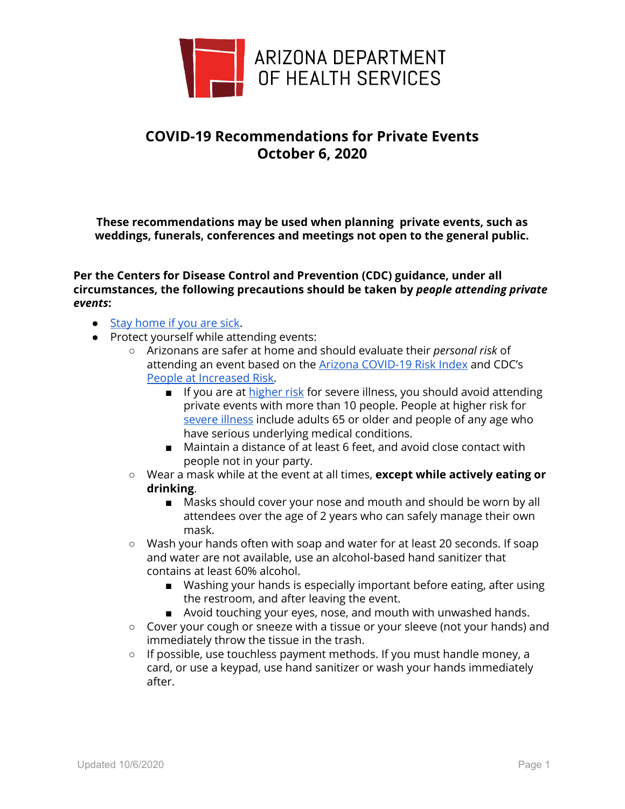

## **COVID-19 Recommendations for Private Events October 6, 2020**

**These recommendations may be used when planning private events, such as weddings, funerals, conferences and meetings not open to the general public.**

**Per the Centers for Disease Control and Prevention (CDC) guidance, under all circumstances, the following precautions should be taken by** *people attending private events***:**

- Stay [home](https://www.cdc.gov/coronavirus/2019-ncov/downloads/sick-with-2019-nCoV-fact-sheet.pdf) if you are sick.
- Protect yourself while attending events:
	- Arizonans are safer at home and should evaluate their *personal risk* of attending an event based on the Arizona [COVID-19](https://www.azdhs.gov/documents/preparedness/epidemiology-disease-control/infectious-disease-epidemiology/novel-coronavirus/communication-materials/covid-19-risk-factors-index-circle-8-5x11.pdf) Risk Index and CDC's People at [Increased](https://www.cdc.gov/coronavirus/2019-ncov/need-extra-precautions/index.html) Risk.
		- If you are at [higher](https://www.cdc.gov/coronavirus/2019-ncov/need-extra-precautions/people-at-higher-risk.html) risk for severe illness, you should avoid attending private events with more than 10 people. People at higher risk for [severe](https://www.cdc.gov/coronavirus/2019-ncov/need-extra-precautions/groups-at-higher-risk.html) illness include adults 65 or older and people of any age who have serious underlying medical conditions.
		- Maintain a distance of at least 6 feet, and avoid close contact with people not in your party.
	- Wear a mask while at the event at all times, **except while actively eating or drinking**.
		- Masks should cover your nose and mouth and should be worn by all attendees over the age of 2 years who can safely manage their own mask.
	- Wash your hands often with soap and water for at least 20 seconds. If soap and water are not available, use an alcohol-based hand sanitizer that contains at least 60% alcohol.
		- Washing your hands is especially important before eating, after using the restroom, and after leaving the event.
		- Avoid touching your eyes, nose, and mouth with unwashed hands.
	- Cover your cough or sneeze with a tissue or your sleeve (not your hands) and immediately throw the tissue in the trash.
	- If possible, use touchless payment methods. If you must handle money, a card, or use a keypad, use hand sanitizer or wash your hands immediately after.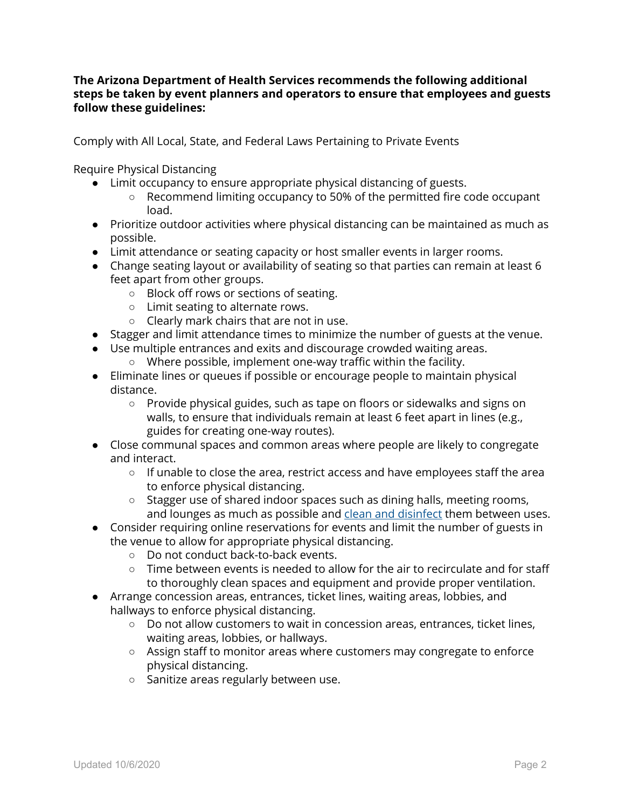## **The Arizona Department of Health Services recommends the following additional steps be taken by event planners and operators to ensure that employees and guests follow these guidelines:**

Comply with All Local, State, and Federal Laws Pertaining to Private Events

Require Physical Distancing

- $\bullet$  Limit occupancy to ensure appropriate physical distancing of guests.
	- Recommend limiting occupancy to 50% of the permitted fire code occupant load.
- Prioritize outdoor activities where physical distancing can be maintained as much as possible.
- Limit attendance or seating capacity or host smaller events in larger rooms.
- Change seating layout or availability of seating so that parties can remain at least 6 feet apart from other groups.
	- Block off rows or sections of seating.
	- Limit seating to alternate rows.
	- Clearly mark chairs that are not in use.
- Stagger and limit attendance times to minimize the number of guests at the venue.
- Use multiple entrances and exits and discourage crowded waiting areas.
	- Where possible, implement one-way traffic within the facility.
- Eliminate lines or queues if possible or encourage people to maintain physical distance.
	- Provide physical guides, such as tape on floors or sidewalks and signs on walls, to ensure that individuals remain at least 6 feet apart in lines (e.g., guides for creating one-way routes).
- Close communal spaces and common areas where people are likely to congregate and interact.
	- If unable to close the area, restrict access and have employees staff the area to enforce physical distancing.
	- Stagger use of shared indoor spaces such as dining halls, meeting rooms, and lounges as much as possible and clean and [disinfect](https://www.cdc.gov/coronavirus/2019-ncov/community/disinfecting-building-facility.html) them between uses.
- Consider requiring online reservations for events and limit the number of guests in the venue to allow for appropriate physical distancing.
	- Do not conduct back-to-back events.
	- Time between events is needed to allow for the air to recirculate and for staff to thoroughly clean spaces and equipment and provide proper ventilation.
- Arrange concession areas, entrances, ticket lines, waiting areas, lobbies, and hallways to enforce physical distancing.
	- Do not allow customers to wait in concession areas, entrances, ticket lines, waiting areas, lobbies, or hallways.
	- Assign staff to monitor areas where customers may congregate to enforce physical distancing.
	- Sanitize areas regularly between use.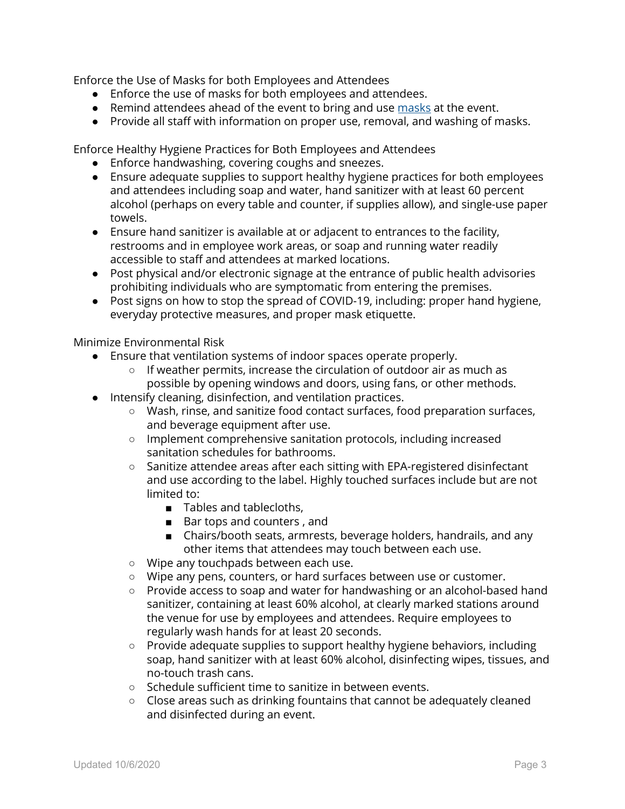Enforce the Use of Masks for both Employees and Attendees

- Enforce the use of masks for both employees and attendees.
- Remind attendees ahead of the event to bring and use [masks](https://azdhs.gov/preparedness/epidemiology-disease-control/infectious-disease-epidemiology/index.php#novel-coronavirus-mask-up) at the event.
- Provide all staff with information on proper use, removal, and washing of masks.

Enforce Healthy Hygiene Practices for Both Employees and Attendees

- Enforce handwashing, covering coughs and sneezes.
- Ensure adequate supplies to support healthy hygiene practices for both employees and attendees including soap and water, hand sanitizer with at least 60 percent alcohol (perhaps on every table and counter, if supplies allow), and single-use paper towels.
- Ensure hand sanitizer is available at or adjacent to entrances to the facility, restrooms and in employee work areas, or soap and running water readily accessible to staff and attendees at marked locations.
- Post physical and/or electronic signage at the entrance of public health advisories prohibiting individuals who are symptomatic from entering the premises.
- Post signs on how to stop the spread of COVID-19, including: proper hand hygiene, everyday protective measures, and proper mask etiquette.

Minimize Environmental Risk

- Ensure that ventilation systems of indoor spaces operate properly.
	- If weather permits, increase the circulation of outdoor air as much as possible by opening windows and doors, using fans, or other methods.
- Intensify cleaning, disinfection, and ventilation practices.
	- Wash, rinse, and sanitize food contact surfaces, food preparation surfaces, and beverage equipment after use.
	- Implement comprehensive sanitation protocols, including increased sanitation schedules for bathrooms.
	- Sanitize attendee areas after each sitting with EPA-registered disinfectant and use according to the label. Highly touched surfaces include but are not limited to:
		- Tables and tablecloths,
		- Bar tops and counters, and
		- Chairs/booth seats, armrests, beverage holders, handrails, and any other items that attendees may touch between each use.
	- Wipe any touchpads between each use.
	- Wipe any pens, counters, or hard surfaces between use or customer.
	- Provide access to soap and water for handwashing or an alcohol-based hand sanitizer, containing at least 60% alcohol, at clearly marked stations around the venue for use by employees and attendees. Require employees to regularly wash hands for at least 20 seconds.
	- Provide adequate supplies to support healthy hygiene behaviors, including soap, hand sanitizer with at least 60% alcohol, disinfecting wipes, tissues, and no-touch trash cans.
	- Schedule sufficient time to sanitize in between events.
	- Close areas such as drinking fountains that cannot be adequately cleaned and disinfected during an event.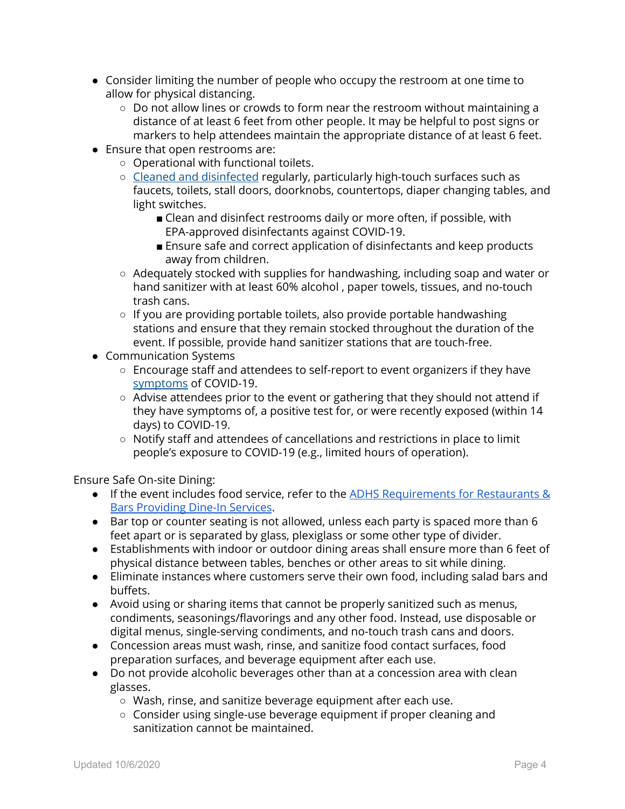- Consider limiting the number of people who occupy the restroom at one time to allow for physical distancing.
	- Do not allow lines or crowds to form near the restroom without maintaining a distance of at least 6 feet from other people. It may be helpful to post signs or markers to help attendees maintain the appropriate distance of at least 6 feet.
- Ensure that open restrooms are:
	- Operational with functional toilets.
	- Cleaned and [disinfected](https://www.cdc.gov/coronavirus/2019-ncov/community/clean-disinfect/index.html) regularly, particularly high-touch surfaces such as faucets, toilets, stall doors, doorknobs, countertops, diaper changing tables, and light switches.
		- Clean and disinfect restrooms daily or more often, if possible, with EPA-approved disinfectants against COVID-19.
		- Ensure safe and correct application of disinfectants and keep products away from children.
	- Adequately stocked with supplies for handwashing, including soap and water or hand sanitizer with at least 60% alcohol , paper towels, tissues, and no-touch trash cans.
	- If you are providing portable toilets, also provide portable handwashing stations and ensure that they remain stocked throughout the duration of the event. If possible, provide hand sanitizer stations that are touch-free.
- Communication Systems
	- Encourage staff and attendees to self-report to event organizers if they have [symptoms](https://www.cdc.gov/coronavirus/2019-ncov/symptoms-testing/symptoms.html) of COVID-19.
	- Advise attendees prior to the event or gathering that they should not attend if they have symptoms of, a positive test for, or were recently exposed (within 14 days) to COVID-19.
	- Notify staff and attendees of cancellations and restrictions in place to limit people's exposure to COVID-19 (e.g., limited hours of operation).

Ensure Safe On-site Dining:

- If the event includes food service, refer to the ADHS [Requirements](https://azdhs.gov/documents/preparedness/epidemiology-disease-control/infectious-disease-epidemiology/novel-coronavirus/community/bars-nightclubs-dine-in.pdf) for Restaurants & Bars [Providing](https://azdhs.gov/documents/preparedness/epidemiology-disease-control/infectious-disease-epidemiology/novel-coronavirus/community/bars-nightclubs-dine-in.pdf) Dine-In Services.
- Bar top or counter seating is not allowed, unless each party is spaced more than 6 feet apart or is separated by glass, plexiglass or some other type of divider.
- Establishments with indoor or outdoor dining areas shall ensure more than 6 feet of physical distance between tables, benches or other areas to sit while dining.
- Eliminate instances where customers serve their own food, including salad bars and buffets.
- Avoid using or sharing items that cannot be properly sanitized such as menus, condiments, seasonings/flavorings and any other food. Instead, use disposable or digital menus, single-serving condiments, and no-touch trash cans and doors.
- Concession areas must wash, rinse, and sanitize food contact surfaces, food preparation surfaces, and beverage equipment after each use.
- Do not provide alcoholic beverages other than at a concession area with clean glasses.
	- Wash, rinse, and sanitize beverage equipment after each use.
	- Consider using single-use beverage equipment if proper cleaning and sanitization cannot be maintained.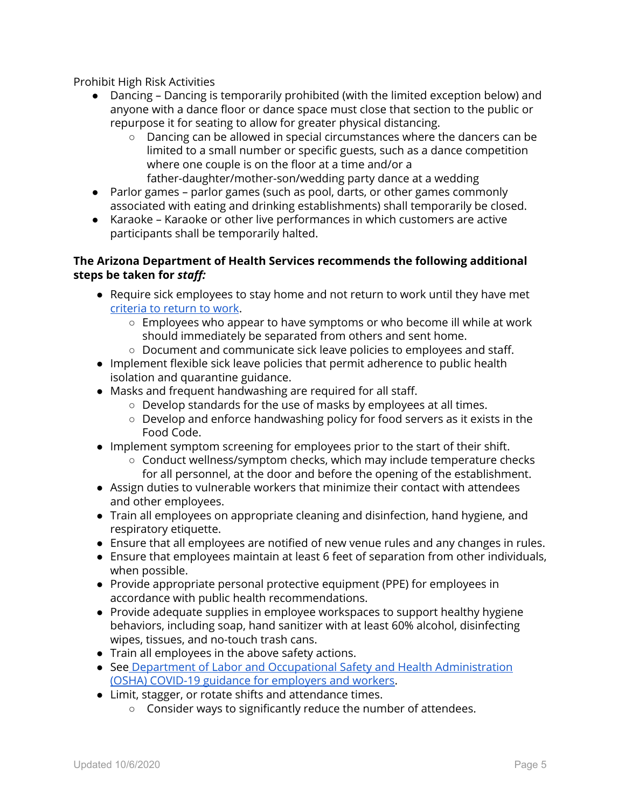Prohibit High Risk Activities

- Dancing Dancing is temporarily prohibited (with the limited exception below) and anyone with a dance floor or dance space must close that section to the public or repurpose it for seating to allow for greater physical distancing.
	- Dancing can be allowed in special circumstances where the dancers can be limited to a small number or specific guests, such as a dance competition where one couple is on the floor at a time and/or a father-daughter/mother-son/wedding party dance at a wedding
- Parlor games parlor games (such as pool, darts, or other games commonly associated with eating and drinking establishments) shall temporarily be closed.
- Karaoke Karaoke or other live performances in which customers are active participants shall be temporarily halted.

## **The Arizona Department of Health Services recommends the following additional steps be taken for** *staff:*

- Require sick employees to stay home and not return to work until they have met [criteria](https://www.azdhs.gov/documents/preparedness/epidemiology-disease-control/infectious-disease-epidemiology/novel-coronavirus/public-resources/release-from-isolation.pdf) to return to work.
	- Employees who appear to have symptoms or who become ill while at work should immediately be separated from others and sent home.
	- Document and communicate sick leave policies to employees and staff.
- Implement flexible sick leave policies that permit adherence to public health isolation and quarantine guidance.
- Masks and frequent handwashing are required for all staff.
	- Develop standards for the use of masks by employees at all times.
	- Develop and enforce handwashing policy for food servers as it exists in the Food [Code](https://www.azdhs.gov/documents/preparedness/epidemiology-disease-control/food-safety-environmental-services/az-food-code.pdf).
- Implement symptom screening for employees prior to the start of their shift.
	- Conduct wellness/symptom checks, which may include temperature checks for all personnel, at the door and before the opening of the establishment.
- Assign duties to vulnerable workers that minimize their contact with attendees and other employees.
- Train all employees on appropriate cleaning and disinfection, hand hygiene, and respiratory etiquette.
- Ensure that all employees are notified of new venue rules and any changes in rules.
- Ensure that employees maintain at least 6 feet of separation from other individuals, when possible.
- Provide appropriate personal protective equipment (PPE) for employees in accordance with public health recommendations.
- Provide adequate supplies in employee workspaces to support healthy hygiene behaviors, including soap, hand sanitizer with at least 60% alcohol, disinfecting wipes, tissues, and no-touch trash cans.
- Train all employees in the above safety actions.
- See Department of Labor and Occupational Safety and Health [Administration](https://www.dol.gov/coronavirus) (OSHA) COVID-19 guidance for [employers](https://www.dol.gov/coronavirus) and workers.
- Limit, stagger, or rotate shifts and attendance times.
	- Consider ways to significantly reduce the number of attendees.